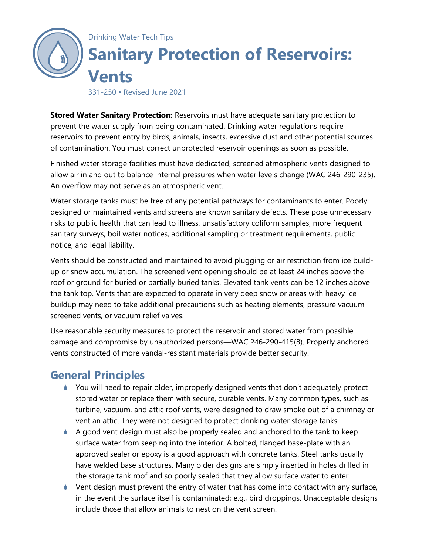

331-250 • Revised June 2021

**Stored Water Sanitary Protection:** Reservoirs must have adequate sanitary protection to prevent the water supply from being contaminated. Drinking water regulations require reservoirs to prevent entry by birds, animals, insects, excessive dust and other potential sources of contamination. You must correct unprotected reservoir openings as soon as possible.

Finished water storage facilities must have dedicated, screened atmospheric vents designed to allow air in and out to balance internal pressures when water levels change (WAC 246-290-235). An overflow may not serve as an atmospheric vent.

Water storage tanks must be free of any potential pathways for contaminants to enter. Poorly designed or maintained vents and screens are known sanitary defects. These pose unnecessary risks to public health that can lead to illness, unsatisfactory coliform samples, more frequent sanitary surveys, boil water notices, additional sampling or treatment requirements, public notice, and legal liability.

Vents should be constructed and maintained to avoid plugging or air restriction from ice buildup or snow accumulation. The screened vent opening should be at least 24 inches above the roof or ground for buried or partially buried tanks. Elevated tank vents can be 12 inches above the tank top. Vents that are expected to operate in very deep snow or areas with heavy ice buildup may need to take additional precautions such as heating elements, pressure vacuum screened vents, or vacuum relief valves.

Use reasonable security measures to protect the reservoir and stored water from possible damage and compromise by unauthorized persons—WAC 246-290-415(8). Properly anchored vents constructed of more vandal-resistant materials provide better security.

# **General Principles**

- ♦ You will need to repair older, improperly designed vents that don't adequately protect stored water or replace them with secure, durable vents. Many common types, such as turbine, vacuum, and attic roof vents, were designed to draw smoke out of a chimney or vent an attic. They were not designed to protect drinking water storage tanks.
- $\blacklozenge$  A good vent design must also be properly sealed and anchored to the tank to keep surface water from seeping into the interior. A bolted, flanged base-plate with an approved sealer or epoxy is a good approach with concrete tanks. Steel tanks usually have welded base structures. Many older designs are simply inserted in holes drilled in the storage tank roof and so poorly sealed that they allow surface water to enter.
- Vent design **must** prevent the entry of water that has come into contact with any surface, in the event the surface itself is contaminated; e.g., bird droppings. Unacceptable designs include those that allow animals to nest on the vent screen.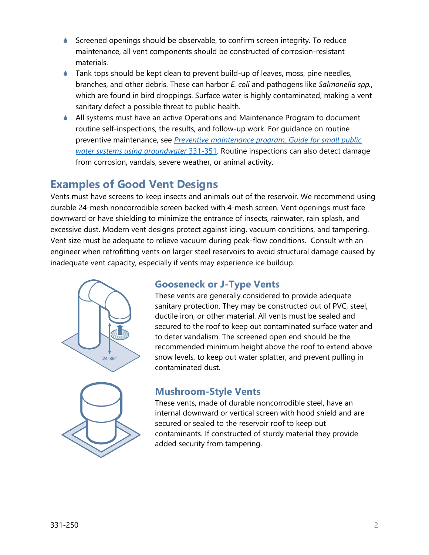- Screened openings should be observable, to confirm screen integrity. To reduce maintenance, all vent components should be constructed of corrosion-resistant materials.
- ♦ Tank tops should be kept clean to prevent build-up of leaves, moss, pine needles, branches, and other debris. These can harbor *E. coli* and pathogens like *Salmonella spp.*, which are found in bird droppings. Surface water is highly contaminated, making a vent sanitary defect a possible threat to public health.
- All systems must have an active Operations and Maintenance Program to document routine self-inspections, the results, and follow-up work. For guidance on routine preventive maintenance, see *[Preventive maintenance program: Guide for small public](http://www.doh.wa.gov/portals/1/documents/pubs/331-351.pdf)  [water systems using groundwater](http://www.doh.wa.gov/portals/1/documents/pubs/331-351.pdf)* 331-351. Routine inspections can also detect damage from corrosion, vandals, severe weather, or animal activity.

# **Examples of Good Vent Designs**

Vents must have screens to keep insects and animals out of the reservoir. We recommend using durable 24-mesh noncorrodible screen backed with 4-mesh screen. Vent openings must face downward or have shielding to minimize the entrance of insects, rainwater, rain splash, and excessive dust. Modern vent designs protect against icing, vacuum conditions, and tampering. Vent size must be adequate to relieve vacuum during peak-flow conditions. Consult with an engineer when retrofitting vents on larger steel reservoirs to avoid structural damage caused by inadequate vent capacity, especially if vents may experience ice buildup.



### **Gooseneck or J-Type Vents**

These vents are generally considered to provide adequate sanitary protection. They may be constructed out of PVC, steel, ductile iron, or other material. All vents must be sealed and secured to the roof to keep out contaminated surface water and to deter vandalism. The screened open end should be the recommended minimum height above the roof to extend above snow levels, to keep out water splatter, and prevent pulling in contaminated dust.

## **Mushroom-Style Vents**

These vents, made of durable noncorrodible steel, have an internal downward or vertical screen with hood shield and are secured or sealed to the reservoir roof to keep out contaminants. If constructed of sturdy material they provide added security from tampering.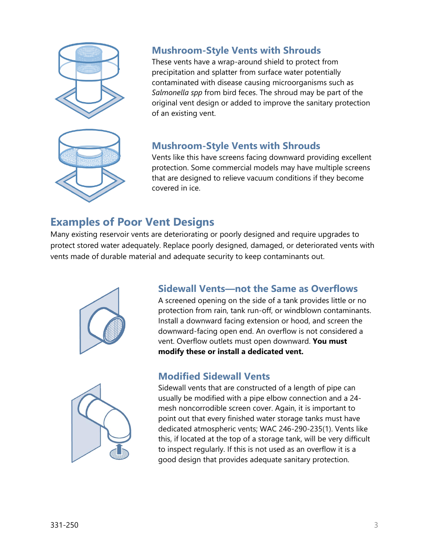



## **Mushroom-Style Vents with Shrouds**

These vents have a wrap-around shield to protect from precipitation and splatter from surface water potentially contaminated with disease causing microorganisms such as *Salmonella spp* from bird feces. The shroud may be part of the original vent design or added to improve the sanitary protection of an existing vent.

### **Mushroom-Style Vents with Shrouds**

Vents like this have screens facing downward providing excellent protection. Some commercial models may have multiple screens that are designed to relieve vacuum conditions if they become covered in ice.

# **Examples of Poor Vent Designs**

Many existing reservoir vents are deteriorating or poorly designed and require upgrades to protect stored water adequately. Replace poorly designed, damaged, or deteriorated vents with vents made of durable material and adequate security to keep contaminants out.



### **Sidewall Vents—not the Same as Overflows**

A screened opening on the side of a tank provides little or no protection from rain, tank run-off, or windblown contaminants. Install a downward facing extension or hood, and screen the downward-facing open end. An overflow is not considered a vent. Overflow outlets must open downward. **You must modify these or install a dedicated vent.**



### **Modified Sidewall Vents**

Sidewall vents that are constructed of a length of pipe can usually be modified with a pipe elbow connection and a 24 mesh noncorrodible screen cover. Again, it is important to point out that every finished water storage tanks must have dedicated atmospheric vents; WAC 246-290-235(1). Vents like this, if located at the top of a storage tank, will be very difficult to inspect regularly. If this is not used as an overflow it is a good design that provides adequate sanitary protection.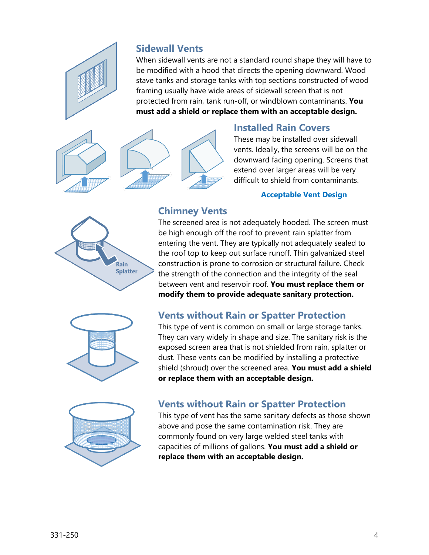

#### **Sidewall Vents**

When sidewall vents are not a standard round shape they will have to be modified with a hood that directs the opening downward. Wood stave tanks and storage tanks with top sections constructed of wood framing usually have wide areas of sidewall screen that is not protected from rain, tank run-off, or windblown contaminants. **You must add a shield or replace them with an acceptable design.**



#### **Installed Rain Covers**

These may be installed over sidewall vents. Ideally, the screens will be on the downward facing opening. Screens that extend over larger areas will be very difficult to shield from contaminants.

#### **Acceptable Vent Design**



## **Chimney Vents**

The screened area is not adequately hooded. The screen must be high enough off the roof to prevent rain splatter from entering the vent. They are typically not adequately sealed to the roof top to keep out surface runoff. Thin galvanized steel construction is prone to corrosion or structural failure. Check the strength of the connection and the integrity of the seal between vent and reservoir roof. **You must replace them or modify them to provide adequate sanitary protection.**



### **Vents without Rain or Spatter Protection**

This type of vent is common on small or large storage tanks. They can vary widely in shape and size. The sanitary risk is the exposed screen area that is not shielded from rain, splatter or dust. These vents can be modified by installing a protective shield (shroud) over the screened area. **You must add a shield or replace them with an acceptable design.**



#### **Vents without Rain or Spatter Protection**

This type of vent has the same sanitary defects as those shown above and pose the same contamination risk. They are commonly found on very large welded steel tanks with capacities of millions of gallons. **You must add a shield or replace them with an acceptable design.**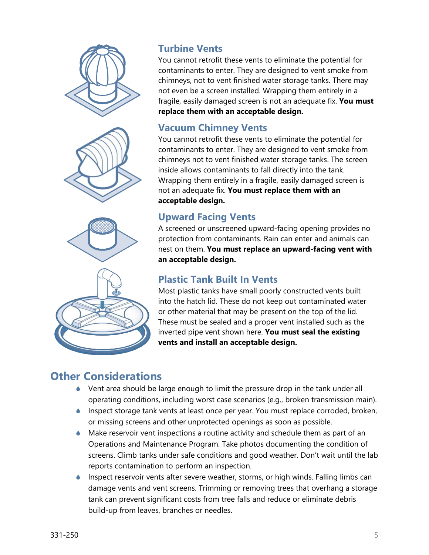





# **Turbine Vents**

You cannot retrofit these vents to eliminate the potential for contaminants to enter. They are designed to vent smoke from chimneys, not to vent finished water storage tanks. There may not even be a screen installed. Wrapping them entirely in a fragile, easily damaged screen is not an adequate fix. **You must replace them with an acceptable design.**

### **Vacuum Chimney Vents**

You cannot retrofit these vents to eliminate the potential for contaminants to enter. They are designed to vent smoke from chimneys not to vent finished water storage tanks. The screen inside allows contaminants to fall directly into the tank. Wrapping them entirely in a fragile, easily damaged screen is not an adequate fix. **You must replace them with an acceptable design.**

## **Upward Facing Vents**

A screened or unscreened upward-facing opening provides no protection from contaminants. Rain can enter and animals can nest on them. **You must replace an upward-facing vent with an acceptable design.**

## **Plastic Tank Built In Vents**

Most plastic tanks have small poorly constructed vents built into the hatch lid. These do not keep out contaminated water or other material that may be present on the top of the lid. These must be sealed and a proper vent installed such as the inverted pipe vent shown here. **You must seal the existing vents and install an acceptable design.**

# **Other Considerations**

- ♦ Vent area should be large enough to limit the pressure drop in the tank under all operating conditions, including worst case scenarios (e.g., broken transmission main).
- ♦ Inspect storage tank vents at least once per year. You must replace corroded, broken, or missing screens and other unprotected openings as soon as possible.
- Make reservoir vent inspections a routine activity and schedule them as part of an Operations and Maintenance Program. Take photos documenting the condition of screens. Climb tanks under safe conditions and good weather. Don't wait until the lab reports contamination to perform an inspection.
- Inspect reservoir vents after severe weather, storms, or high winds. Falling limbs can damage vents and vent screens. Trimming or removing trees that overhang a storage tank can prevent significant costs from tree falls and reduce or eliminate debris build-up from leaves, branches or needles.